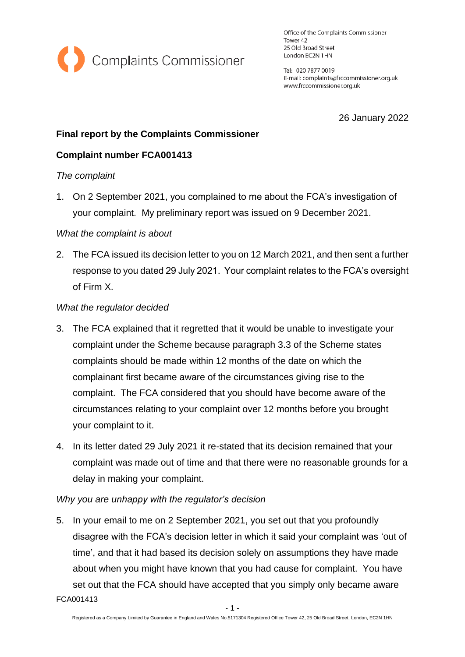

Office of the Complaints Commissioner Tower 42 25 Old Broad Street London EC2N 1HN

Tel: 020 7877 0019 E-mail: complaints@frccommissioner.org.uk www.frccommissioner.org.uk

26 January 2022

### **Final report by the Complaints Commissioner**

## **Complaint number FCA001413**

### *The complaint*

1. On 2 September 2021, you complained to me about the FCA's investigation of your complaint. My preliminary report was issued on 9 December 2021.

### *What the complaint is about*

2. The FCA issued its decision letter to you on 12 March 2021, and then sent a further response to you dated 29 July 2021. Your complaint relates to the FCA's oversight of Firm X.

### *What the regulator decided*

- 3. The FCA explained that it regretted that it would be unable to investigate your complaint under the Scheme because paragraph 3.3 of the Scheme states complaints should be made within 12 months of the date on which the complainant first became aware of the circumstances giving rise to the complaint. The FCA considered that you should have become aware of the circumstances relating to your complaint over 12 months before you brought your complaint to it.
- 4. In its letter dated 29 July 2021 it re-stated that its decision remained that your complaint was made out of time and that there were no reasonable grounds for a delay in making your complaint.

### *Why you are unhappy with the regulator's decision*

FCA001413 5. In your email to me on 2 September 2021, you set out that you profoundly disagree with the FCA's decision letter in which it said your complaint was 'out of time', and that it had based its decision solely on assumptions they have made about when you might have known that you had cause for complaint. You have set out that the FCA should have accepted that you simply only became aware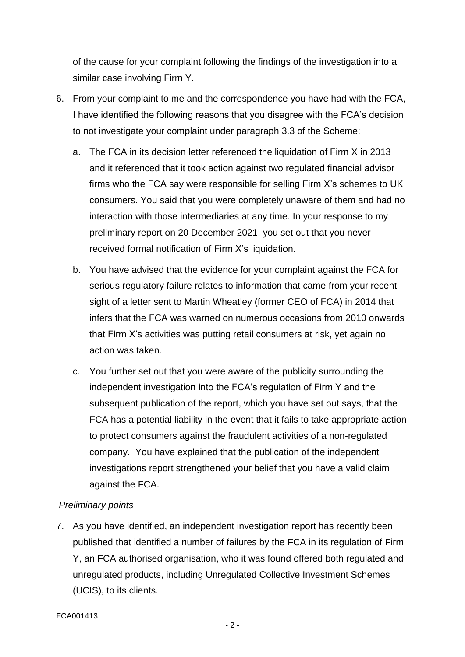of the cause for your complaint following the findings of the investigation into a similar case involving Firm Y.

- 6. From your complaint to me and the correspondence you have had with the FCA, I have identified the following reasons that you disagree with the FCA's decision to not investigate your complaint under paragraph 3.3 of the Scheme:
	- a. The FCA in its decision letter referenced the liquidation of Firm X in 2013 and it referenced that it took action against two regulated financial advisor firms who the FCA say were responsible for selling Firm X's schemes to UK consumers. You said that you were completely unaware of them and had no interaction with those intermediaries at any time. In your response to my preliminary report on 20 December 2021, you set out that you never received formal notification of Firm X's liquidation.
	- b. You have advised that the evidence for your complaint against the FCA for serious regulatory failure relates to information that came from your recent sight of a letter sent to Martin Wheatley (former CEO of FCA) in 2014 that infers that the FCA was warned on numerous occasions from 2010 onwards that Firm X's activities was putting retail consumers at risk, yet again no action was taken.
	- c. You further set out that you were aware of the publicity surrounding the independent investigation into the FCA's regulation of Firm Y and the subsequent publication of the report, which you have set out says, that the FCA has a potential liability in the event that it fails to take appropriate action to protect consumers against the fraudulent activities of a non-regulated company. You have explained that the publication of the independent investigations report strengthened your belief that you have a valid claim against the FCA.

# *Preliminary points*

7. As you have identified, an independent investigation report has recently been published that identified a number of failures by the FCA in its regulation of Firm Y, an FCA authorised organisation, who it was found offered both regulated and unregulated products, including Unregulated Collective Investment Schemes (UCIS), to its clients.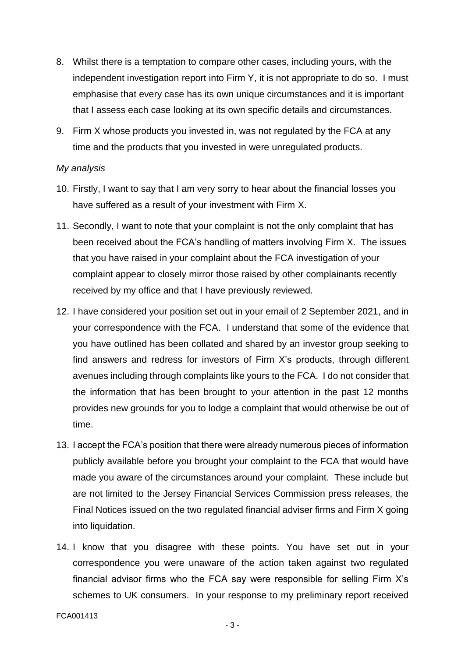- 8. Whilst there is a temptation to compare other cases, including yours, with the independent investigation report into Firm Y, it is not appropriate to do so. I must emphasise that every case has its own unique circumstances and it is important that I assess each case looking at its own specific details and circumstances.
- 9. Firm X whose products you invested in, was not regulated by the FCA at any time and the products that you invested in were unregulated products.

#### *My analysis*

- 10. Firstly, I want to say that I am very sorry to hear about the financial losses you have suffered as a result of your investment with Firm X.
- 11. Secondly, I want to note that your complaint is not the only complaint that has been received about the FCA's handling of matters involving Firm X. The issues that you have raised in your complaint about the FCA investigation of your complaint appear to closely mirror those raised by other complainants recently received by my office and that I have previously reviewed.
- 12. I have considered your position set out in your email of 2 September 2021, and in your correspondence with the FCA. I understand that some of the evidence that you have outlined has been collated and shared by an investor group seeking to find answers and redress for investors of Firm X's products, through different avenues including through complaints like yours to the FCA. I do not consider that the information that has been brought to your attention in the past 12 months provides new grounds for you to lodge a complaint that would otherwise be out of time.
- 13. I accept the FCA's position that there were already numerous pieces of information publicly available before you brought your complaint to the FCA that would have made you aware of the circumstances around your complaint. These include but are not limited to the Jersey Financial Services Commission press releases, the Final Notices issued on the two regulated financial adviser firms and Firm X going into liquidation.
- 14. I know that you disagree with these points. You have set out in your correspondence you were unaware of the action taken against two regulated financial advisor firms who the FCA say were responsible for selling Firm X's schemes to UK consumers. In your response to my preliminary report received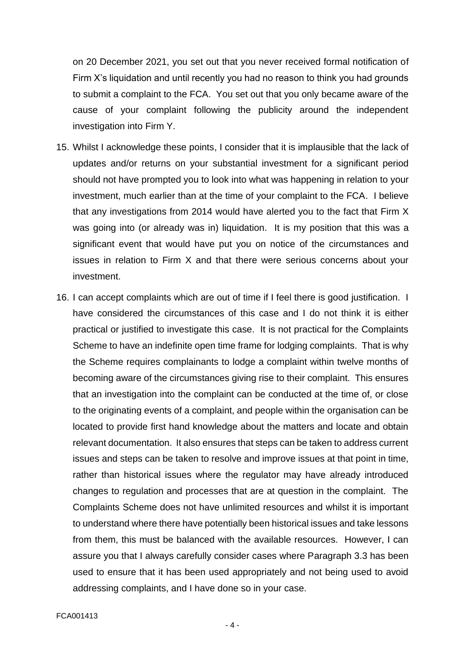on 20 December 2021, you set out that you never received formal notification of Firm X's liquidation and until recently you had no reason to think you had grounds to submit a complaint to the FCA. You set out that you only became aware of the cause of your complaint following the publicity around the independent investigation into Firm Y.

- 15. Whilst I acknowledge these points, I consider that it is implausible that the lack of updates and/or returns on your substantial investment for a significant period should not have prompted you to look into what was happening in relation to your investment, much earlier than at the time of your complaint to the FCA. I believe that any investigations from 2014 would have alerted you to the fact that Firm X was going into (or already was in) liquidation. It is my position that this was a significant event that would have put you on notice of the circumstances and issues in relation to Firm X and that there were serious concerns about your investment.
- 16. I can accept complaints which are out of time if I feel there is good justification. I have considered the circumstances of this case and I do not think it is either practical or justified to investigate this case. It is not practical for the Complaints Scheme to have an indefinite open time frame for lodging complaints. That is why the Scheme requires complainants to lodge a complaint within twelve months of becoming aware of the circumstances giving rise to their complaint. This ensures that an investigation into the complaint can be conducted at the time of, or close to the originating events of a complaint, and people within the organisation can be located to provide first hand knowledge about the matters and locate and obtain relevant documentation. It also ensures that steps can be taken to address current issues and steps can be taken to resolve and improve issues at that point in time, rather than historical issues where the regulator may have already introduced changes to regulation and processes that are at question in the complaint. The Complaints Scheme does not have unlimited resources and whilst it is important to understand where there have potentially been historical issues and take lessons from them, this must be balanced with the available resources. However, I can assure you that I always carefully consider cases where Paragraph 3.3 has been used to ensure that it has been used appropriately and not being used to avoid addressing complaints, and I have done so in your case.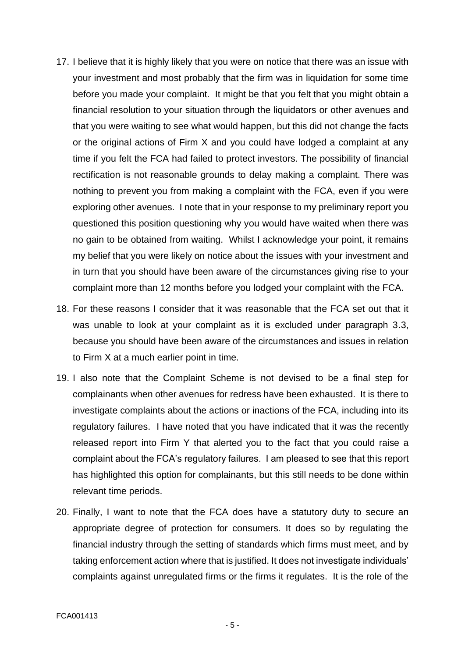- 17. I believe that it is highly likely that you were on notice that there was an issue with your investment and most probably that the firm was in liquidation for some time before you made your complaint. It might be that you felt that you might obtain a financial resolution to your situation through the liquidators or other avenues and that you were waiting to see what would happen, but this did not change the facts or the original actions of Firm X and you could have lodged a complaint at any time if you felt the FCA had failed to protect investors. The possibility of financial rectification is not reasonable grounds to delay making a complaint. There was nothing to prevent you from making a complaint with the FCA, even if you were exploring other avenues. I note that in your response to my preliminary report you questioned this position questioning why you would have waited when there was no gain to be obtained from waiting. Whilst I acknowledge your point, it remains my belief that you were likely on notice about the issues with your investment and in turn that you should have been aware of the circumstances giving rise to your complaint more than 12 months before you lodged your complaint with the FCA.
- 18. For these reasons I consider that it was reasonable that the FCA set out that it was unable to look at your complaint as it is excluded under paragraph 3.3, because you should have been aware of the circumstances and issues in relation to Firm X at a much earlier point in time.
- 19. I also note that the Complaint Scheme is not devised to be a final step for complainants when other avenues for redress have been exhausted. It is there to investigate complaints about the actions or inactions of the FCA, including into its regulatory failures. I have noted that you have indicated that it was the recently released report into Firm Y that alerted you to the fact that you could raise a complaint about the FCA's regulatory failures. I am pleased to see that this report has highlighted this option for complainants, but this still needs to be done within relevant time periods.
- 20. Finally, I want to note that the FCA does have a statutory duty to secure an appropriate degree of protection for consumers. It does so by regulating the financial industry through the setting of standards which firms must meet, and by taking enforcement action where that is justified. It does not investigate individuals' complaints against unregulated firms or the firms it regulates. It is the role of the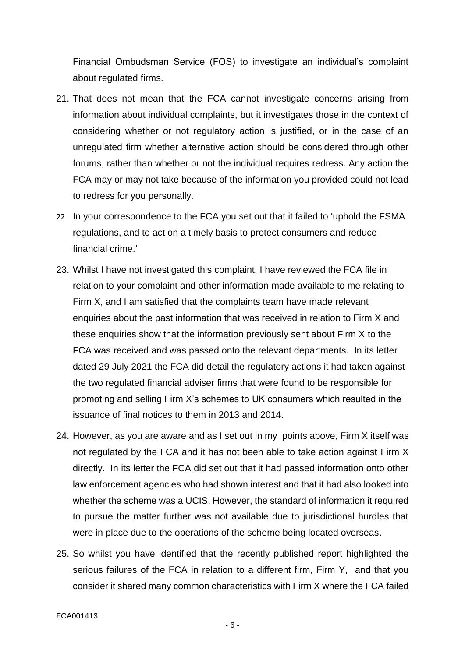Financial Ombudsman Service (FOS) to investigate an individual's complaint about regulated firms.

- 21. That does not mean that the FCA cannot investigate concerns arising from information about individual complaints, but it investigates those in the context of considering whether or not regulatory action is justified, or in the case of an unregulated firm whether alternative action should be considered through other forums, rather than whether or not the individual requires redress. Any action the FCA may or may not take because of the information you provided could not lead to redress for you personally.
- 22. In your correspondence to the FCA you set out that it failed to 'uphold the FSMA regulations, and to act on a timely basis to protect consumers and reduce financial crime.'
- 23. Whilst I have not investigated this complaint, I have reviewed the FCA file in relation to your complaint and other information made available to me relating to Firm X, and I am satisfied that the complaints team have made relevant enquiries about the past information that was received in relation to Firm X and these enquiries show that the information previously sent about Firm X to the FCA was received and was passed onto the relevant departments. In its letter dated 29 July 2021 the FCA did detail the regulatory actions it had taken against the two regulated financial adviser firms that were found to be responsible for promoting and selling Firm X's schemes to UK consumers which resulted in the issuance of final notices to them in 2013 and 2014.
- 24. However, as you are aware and as I set out in my points above, Firm X itself was not regulated by the FCA and it has not been able to take action against Firm X directly. In its letter the FCA did set out that it had passed information onto other law enforcement agencies who had shown interest and that it had also looked into whether the scheme was a UCIS. However, the standard of information it required to pursue the matter further was not available due to jurisdictional hurdles that were in place due to the operations of the scheme being located overseas.
- 25. So whilst you have identified that the recently published report highlighted the serious failures of the FCA in relation to a different firm, Firm Y, and that you consider it shared many common characteristics with Firm X where the FCA failed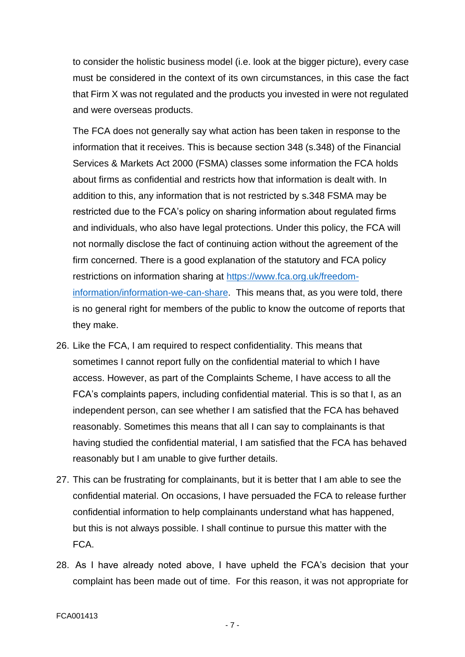to consider the holistic business model (i.e. look at the bigger picture), every case must be considered in the context of its own circumstances, in this case the fact that Firm X was not regulated and the products you invested in were not regulated and were overseas products.

The FCA does not generally say what action has been taken in response to the information that it receives. This is because section 348 (s.348) of the Financial Services & Markets Act 2000 (FSMA) classes some information the FCA holds about firms as confidential and restricts how that information is dealt with. In addition to this, any information that is not restricted by s.348 FSMA may be restricted due to the FCA's policy on sharing information about regulated firms and individuals, who also have legal protections. Under this policy, the FCA will not normally disclose the fact of continuing action without the agreement of the firm concerned. There is a good explanation of the statutory and FCA policy restrictions on information sharing at [https://www.fca.org.uk/freedom](https://www.fca.org.uk/freedom-information/information-we-can-share)[information/information-we-can-share.](https://www.fca.org.uk/freedom-information/information-we-can-share) This means that, as you were told, there is no general right for members of the public to know the outcome of reports that they make.

- 26. Like the FCA, I am required to respect confidentiality. This means that sometimes I cannot report fully on the confidential material to which I have access. However, as part of the Complaints Scheme, I have access to all the FCA's complaints papers, including confidential material. This is so that I, as an independent person, can see whether I am satisfied that the FCA has behaved reasonably. Sometimes this means that all I can say to complainants is that having studied the confidential material, I am satisfied that the FCA has behaved reasonably but I am unable to give further details.
- 27. This can be frustrating for complainants, but it is better that I am able to see the confidential material. On occasions, I have persuaded the FCA to release further confidential information to help complainants understand what has happened, but this is not always possible. I shall continue to pursue this matter with the FCA.
- 28. As I have already noted above, I have upheld the FCA's decision that your complaint has been made out of time. For this reason, it was not appropriate for

- 7 -